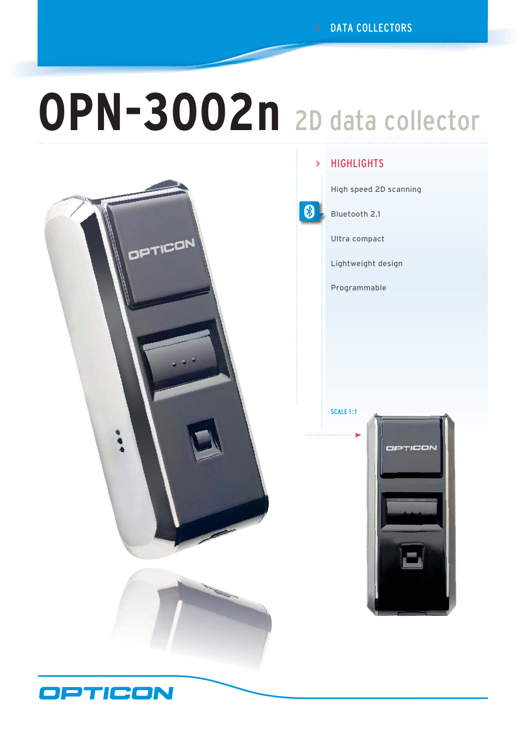> DATA COLLECTORS

# **OPN-3002n** 2D data collector



#### **HIGHLIGHTS** >

8